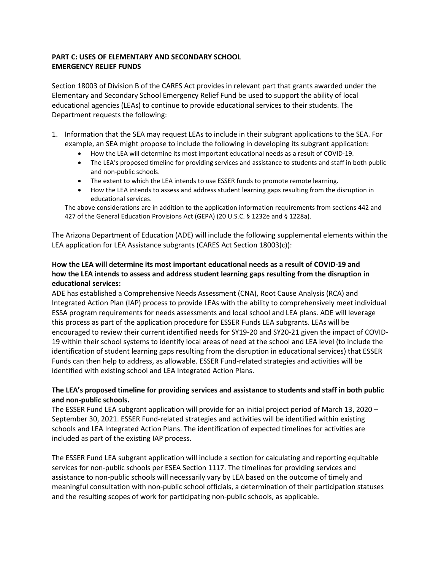# **PART C: USES OF ELEMENTARY AND SECONDARY SCHOOL EMERGENCY RELIEF FUNDS**

Section 18003 of Division B of the CARES Act provides in relevant part that grants awarded under the Elementary and Secondary School Emergency Relief Fund be used to support the ability of local educational agencies (LEAs) to continue to provide educational services to their students. The Department requests the following:

- 1. Information that the SEA may request LEAs to include in their subgrant applications to the SEA. For example, an SEA might propose to include the following in developing its subgrant application:
	- How the LEA will determine its most important educational needs as a result of COVID-19.
	- The LEA's proposed timeline for providing services and assistance to students and staff in both public and non-public schools.
	- The extent to which the LEA intends to use ESSER funds to promote remote learning.
	- How the LEA intends to assess and address student learning gaps resulting from the disruption in educational services.

The above considerations are in addition to the application information requirements from sections 442 and 427 of the General Education Provisions Act (GEPA) (20 U.S.C. § 1232e and § 1228a).

The Arizona Department of Education (ADE) will include the following supplemental elements within the LEA application for LEA Assistance subgrants (CARES Act Section 18003(c)):

## **How the LEA will determine its most important educational needs as a result of COVID-19 and how the LEA intends to assess and address student learning gaps resulting from the disruption in educational services:**

ADE has established a Comprehensive Needs Assessment (CNA), Root Cause Analysis (RCA) and Integrated Action Plan (IAP) process to provide LEAs with the ability to comprehensively meet individual ESSA program requirements for needs assessments and local school and LEA plans. ADE will leverage this process as part of the application procedure for ESSER Funds LEA subgrants. LEAs will be encouraged to review their current identified needs for SY19-20 and SY20-21 given the impact of COVID-19 within their school systems to identify local areas of need at the school and LEA level (to include the identification of student learning gaps resulting from the disruption in educational services) that ESSER Funds can then help to address, as allowable. ESSER Fund-related strategies and activities will be identified with existing school and LEA Integrated Action Plans.

## **The LEA's proposed timeline for providing services and assistance to students and staff in both public and non-public schools.**

The ESSER Fund LEA subgrant application will provide for an initial project period of March 13, 2020 – September 30, 2021. ESSER Fund-related strategies and activities will be identified within existing schools and LEA Integrated Action Plans. The identification of expected timelines for activities are included as part of the existing IAP process.

The ESSER Fund LEA subgrant application will include a section for calculating and reporting equitable services for non-public schools per ESEA Section 1117. The timelines for providing services and assistance to non-public schools will necessarily vary by LEA based on the outcome of timely and meaningful consultation with non-public school officials, a determination of their participation statuses and the resulting scopes of work for participating non-public schools, as applicable.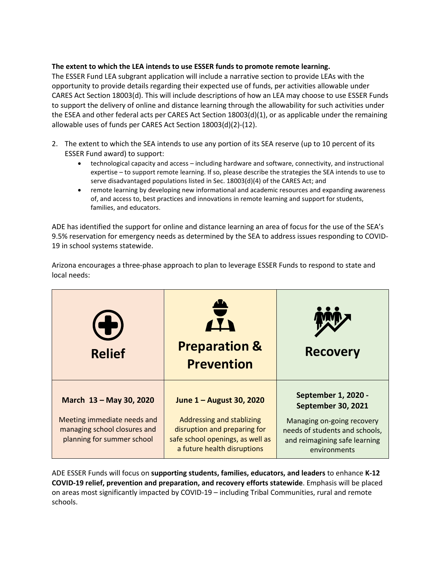#### **The extent to which the LEA intends to use ESSER funds to promote remote learning.**

The ESSER Fund LEA subgrant application will include a narrative section to provide LEAs with the opportunity to provide details regarding their expected use of funds, per activities allowable under CARES Act Section 18003(d). This will include descriptions of how an LEA may choose to use ESSER Funds to support the delivery of online and distance learning through the allowability for such activities under the ESEA and other federal acts per CARES Act Section 18003(d)(1), or as applicable under the remaining allowable uses of funds per CARES Act Section 18003(d)(2)-(12).

- 2. The extent to which the SEA intends to use any portion of its SEA reserve (up to 10 percent of its ESSER Fund award) to support:
	- technological capacity and access including hardware and software, connectivity, and instructional expertise – to support remote learning. If so, please describe the strategies the SEA intends to use to serve disadvantaged populations listed in Sec. 18003(d)(4) of the CARES Act; and
	- remote learning by developing new informational and academic resources and expanding awareness of, and access to, best practices and innovations in remote learning and support for students, families, and educators.

ADE has identified the support for online and distance learning an area of focus for the use of the SEA's 9.5% reservation for emergency needs as determined by the SEA to address issues responding to COVID-19 in school systems statewide.

| $\left( \blacklozenge\right)$<br><b>Relief</b>                                                                       | $\frac{4}{11}$<br><b>Preparation &amp;</b><br><b>Prevention</b>                                                                                          | <b>Recovery</b>                                                                                                                                                          |
|----------------------------------------------------------------------------------------------------------------------|----------------------------------------------------------------------------------------------------------------------------------------------------------|--------------------------------------------------------------------------------------------------------------------------------------------------------------------------|
| March 13 - May 30, 2020<br>Meeting immediate needs and<br>managing school closures and<br>planning for summer school | June 1 - August 30, 2020<br>Addressing and stablizing<br>disruption and preparing for<br>safe school openings, as well as<br>a future health disruptions | <b>September 1, 2020 -</b><br><b>September 30, 2021</b><br>Managing on-going recovery<br>needs of students and schools,<br>and reimagining safe learning<br>environments |

Arizona encourages a three-phase approach to plan to leverage ESSER Funds to respond to state and local needs:

ADE ESSER Funds will focus on **supporting students, families, educators, and leaders** to enhance **K-12 COVID-19 relief, prevention and preparation, and recovery efforts statewide**. Emphasis will be placed on areas most significantly impacted by COVID-19 – including Tribal Communities, rural and remote schools.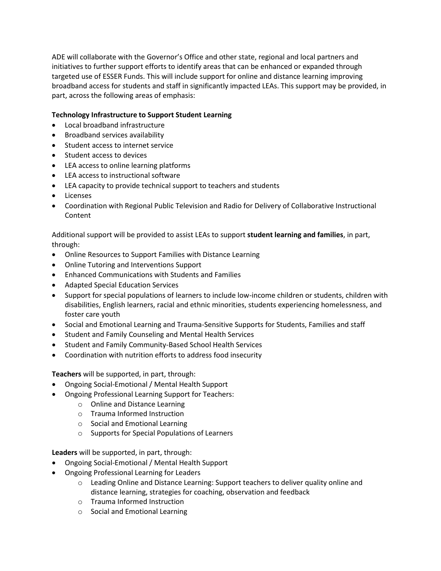ADE will collaborate with the Governor's Office and other state, regional and local partners and initiatives to further support efforts to identify areas that can be enhanced or expanded through targeted use of ESSER Funds. This will include support for online and distance learning improving broadband access for students and staff in significantly impacted LEAs. This support may be provided, in part, across the following areas of emphasis:

### **Technology Infrastructure to Support Student Learning**

- Local broadband infrastructure
- Broadband services availability
- Student access to internet service
- Student access to devices
- LEA access to online learning platforms
- LEA access to instructional software
- LEA capacity to provide technical support to teachers and students
- Licenses
- Coordination with Regional Public Television and Radio for Delivery of Collaborative Instructional Content

Additional support will be provided to assist LEAs to support **student learning and families**, in part, through:

- Online Resources to Support Families with Distance Learning
- Online Tutoring and Interventions Support
- Enhanced Communications with Students and Families
- Adapted Special Education Services
- Support for special populations of learners to include low-income children or students, children with disabilities, English learners, racial and ethnic minorities, students experiencing homelessness, and foster care youth
- Social and Emotional Learning and Trauma-Sensitive Supports for Students, Families and staff
- Student and Family Counseling and Mental Health Services
- Student and Family Community-Based School Health Services
- Coordination with nutrition efforts to address food insecurity

**Teachers** will be supported, in part, through:

- Ongoing Social-Emotional / Mental Health Support
- Ongoing Professional Learning Support for Teachers:
	- o Online and Distance Learning
	- o Trauma Informed Instruction
	- o Social and Emotional Learning
	- o Supports for Special Populations of Learners

**Leaders** will be supported, in part, through:

- Ongoing Social-Emotional / Mental Health Support
- Ongoing Professional Learning for Leaders
	- o Leading Online and Distance Learning: Support teachers to deliver quality online and distance learning, strategies for coaching, observation and feedback
	- o Trauma Informed Instruction
	- o Social and Emotional Learning